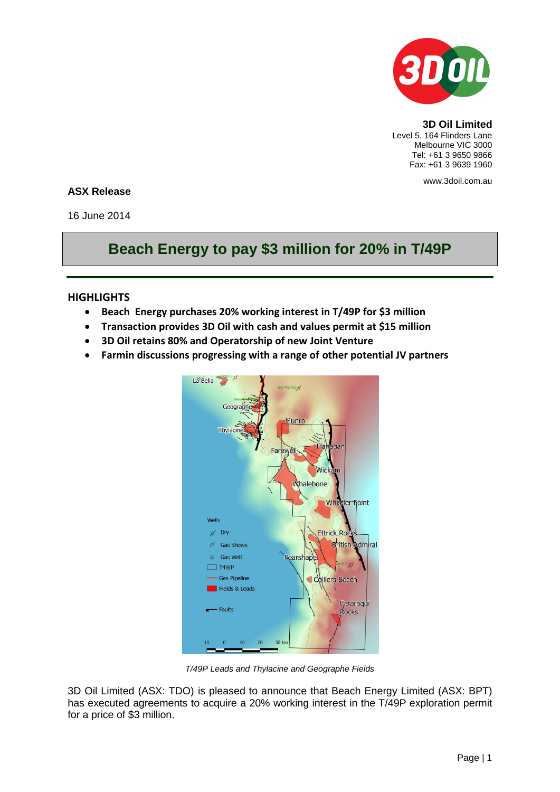

**3D Oil Limited** Level 5, 164 Flinders Lane Melbourne VIC 3000 Tel: +61 3 9650 9866 Fax: +61 3 9639 1960

www.3doil.com.au

## **ASX Release**

16 June 2014

# **Beach Energy to pay \$3 million for 20% in T/49P**

#### **HIGHLIGHTS**

- **Beach Energy purchases 20% working interest in T/49P for \$3 million**
- **Transaction provides 3D Oil with cash and values permit at \$15 million**
- **3D Oil retains 80% and Operatorship of new Joint Venture**
- **Farmin discussions progressing with a range of other potential JV partners**



*T/49P Leads and Thylacine and Geographe Fields*

3D Oil Limited (ASX: TDO) is pleased to announce that Beach Energy Limited (ASX: BPT) has executed agreements to acquire a 20% working interest in the T/49P exploration permit for a price of \$3 million.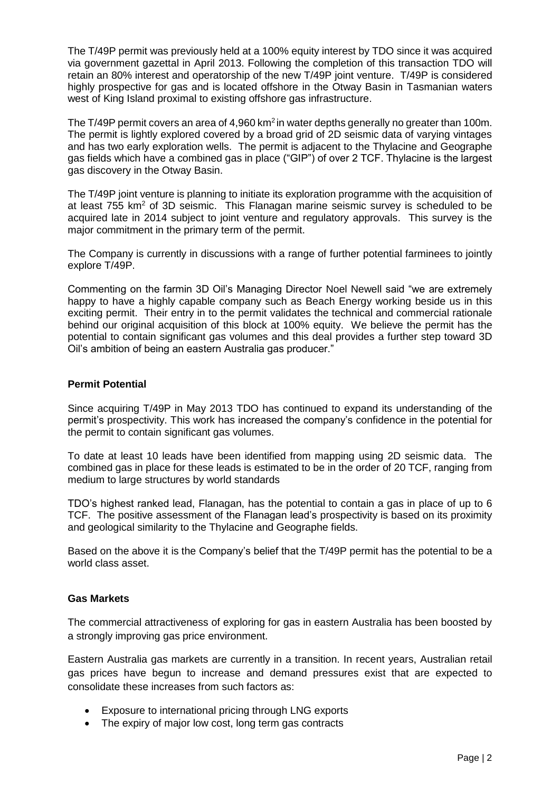The T/49P permit was previously held at a 100% equity interest by TDO since it was acquired via government gazettal in April 2013. Following the completion of this transaction TDO will retain an 80% interest and operatorship of the new T/49P joint venture. T/49P is considered highly prospective for gas and is located offshore in the Otway Basin in Tasmanian waters west of King Island proximal to existing offshore gas infrastructure.

The T/49P permit covers an area of 4,960 km<sup>2</sup> in water depths generally no greater than 100m. The permit is lightly explored covered by a broad grid of 2D seismic data of varying vintages and has two early exploration wells. The permit is adjacent to the Thylacine and Geographe gas fields which have a combined gas in place ("GIP") of over 2 TCF. Thylacine is the largest gas discovery in the Otway Basin.

The T/49P joint venture is planning to initiate its exploration programme with the acquisition of at least  $755 \text{ km}^2$  of 3D seismic. This Flanagan marine seismic survey is scheduled to be acquired late in 2014 subject to joint venture and regulatory approvals. This survey is the major commitment in the primary term of the permit.

The Company is currently in discussions with a range of further potential farminees to jointly explore T/49P.

Commenting on the farmin 3D Oil's Managing Director Noel Newell said "we are extremely happy to have a highly capable company such as Beach Energy working beside us in this exciting permit. Their entry in to the permit validates the technical and commercial rationale behind our original acquisition of this block at 100% equity. We believe the permit has the potential to contain significant gas volumes and this deal provides a further step toward 3D Oil's ambition of being an eastern Australia gas producer."

## **Permit Potential**

Since acquiring T/49P in May 2013 TDO has continued to expand its understanding of the permit's prospectivity. This work has increased the company's confidence in the potential for the permit to contain significant gas volumes.

To date at least 10 leads have been identified from mapping using 2D seismic data. The combined gas in place for these leads is estimated to be in the order of 20 TCF, ranging from medium to large structures by world standards

TDO's highest ranked lead, Flanagan, has the potential to contain a gas in place of up to 6 TCF. The positive assessment of the Flanagan lead's prospectivity is based on its proximity and geological similarity to the Thylacine and Geographe fields.

Based on the above it is the Company's belief that the T/49P permit has the potential to be a world class asset.

## **Gas Markets**

The commercial attractiveness of exploring for gas in eastern Australia has been boosted by a strongly improving gas price environment.

Eastern Australia gas markets are currently in a transition. In recent years, Australian retail gas prices have begun to increase and demand pressures exist that are expected to consolidate these increases from such factors as:

- Exposure to international pricing through LNG exports
- The expiry of major low cost, long term gas contracts